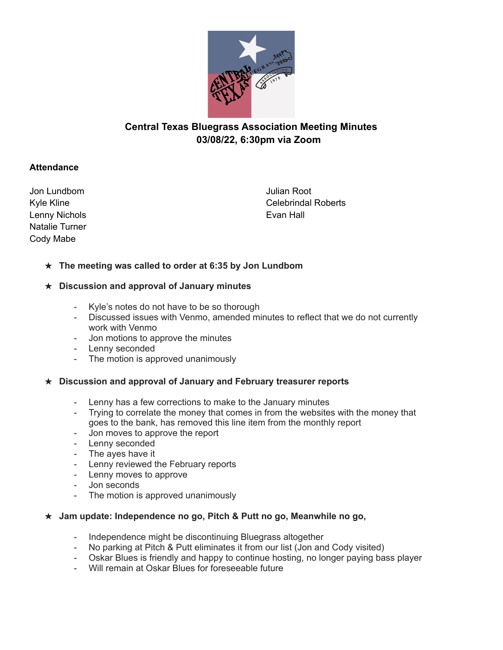

# **Central Texas Bluegrass Association Meeting Minutes 03/08/22, 6:30pm via Zoom**

# **Attendance**

Jon Lundbom Kyle Kline Lenny Nichols Natalie Turner Cody Mabe

Julian Root Celebrindal Roberts Evan Hall

★ **The meeting was called to order at 6:35 by Jon Lundbom**

#### ★ **Discussion and approval of January minutes**

- Kyle's notes do not have to be so thorough
- Discussed issues with Venmo, amended minutes to reflect that we do not currently work with Venmo
- Jon motions to approve the minutes
- Lenny seconded
- The motion is approved unanimously

#### ★ **Discussion and approval of January and February treasurer reports**

- Lenny has a few corrections to make to the January minutes
- Trying to correlate the money that comes in from the websites with the money that goes to the bank, has removed this line item from the monthly report
- Jon moves to approve the report
- Lenny seconded
- The ayes have it
- Lenny reviewed the February reports
- Lenny moves to approve
- Jon seconds
- The motion is approved unanimously

#### ★ **Jam update: Independence no go, Pitch & Putt no go, Meanwhile no go,**

- Independence might be discontinuing Bluegrass altogether
- No parking at Pitch & Putt eliminates it from our list (Jon and Cody visited)
- Oskar Blues is friendly and happy to continue hosting, no longer paying bass player
- Will remain at Oskar Blues for foreseeable future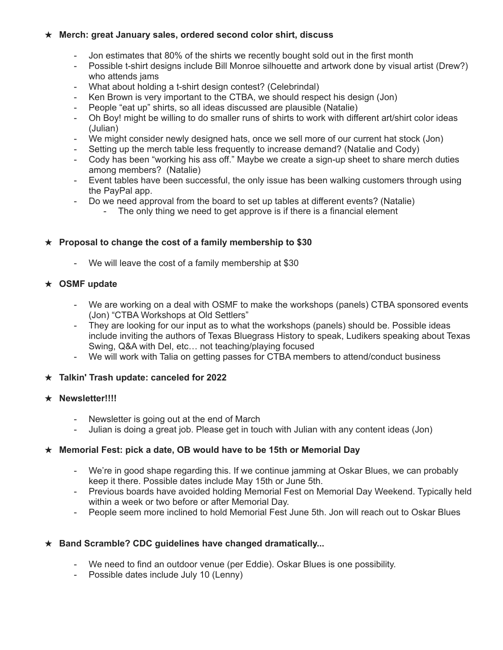## ★ **Merch: great January sales, ordered second color shirt, discuss**

- Jon estimates that 80% of the shirts we recently bought sold out in the first month
- Possible t-shirt designs include Bill Monroe silhouette and artwork done by visual artist (Drew?) who attends jams
- What about holding a t-shirt design contest? (Celebrindal)
- Ken Brown is very important to the CTBA, we should respect his design (Jon)
- People "eat up" shirts, so all ideas discussed are plausible (Natalie)
- Oh Boy! might be willing to do smaller runs of shirts to work with different art/shirt color ideas (Julian)
- We might consider newly designed hats, once we sell more of our current hat stock (Jon)
- Setting up the merch table less frequently to increase demand? (Natalie and Cody)
- Cody has been "working his ass off." Maybe we create a sign-up sheet to share merch duties among members? (Natalie)
- Event tables have been successful, the only issue has been walking customers through using the PayPal app.
- Do we need approval from the board to set up tables at different events? (Natalie)
	- The only thing we need to get approve is if there is a financial element

## ★ **Proposal to change the cost of a family membership to \$30**

- We will leave the cost of a family membership at \$30

## ★ **OSMF update**

- We are working on a deal with OSMF to make the workshops (panels) CTBA sponsored events (Jon) "CTBA Workshops at Old Settlers"
- They are looking for our input as to what the workshops (panels) should be. Possible ideas include inviting the authors of Texas Bluegrass History to speak, Ludikers speaking about Texas Swing, Q&A with Del, etc… not teaching/playing focused
- We will work with Talia on getting passes for CTBA members to attend/conduct business
- ★ **Talkin' Trash update: canceled for 2022**

# ★ **Newsletter!!!!**

- Newsletter is going out at the end of March
- Julian is doing a great job. Please get in touch with Julian with any content ideas (Jon)

# ★ **Memorial Fest: pick a date, OB would have to be 15th or Memorial Day**

- We're in good shape regarding this. If we continue jamming at Oskar Blues, we can probably keep it there. Possible dates include May 15th or June 5th.
- Previous boards have avoided holding Memorial Fest on Memorial Day Weekend. Typically held within a week or two before or after Memorial Day.
- People seem more inclined to hold Memorial Fest June 5th. Jon will reach out to Oskar Blues

# ★ **Band Scramble? CDC guidelines have changed dramatically...**

- We need to find an outdoor venue (per Eddie). Oskar Blues is one possibility.
- Possible dates include July 10 (Lenny)